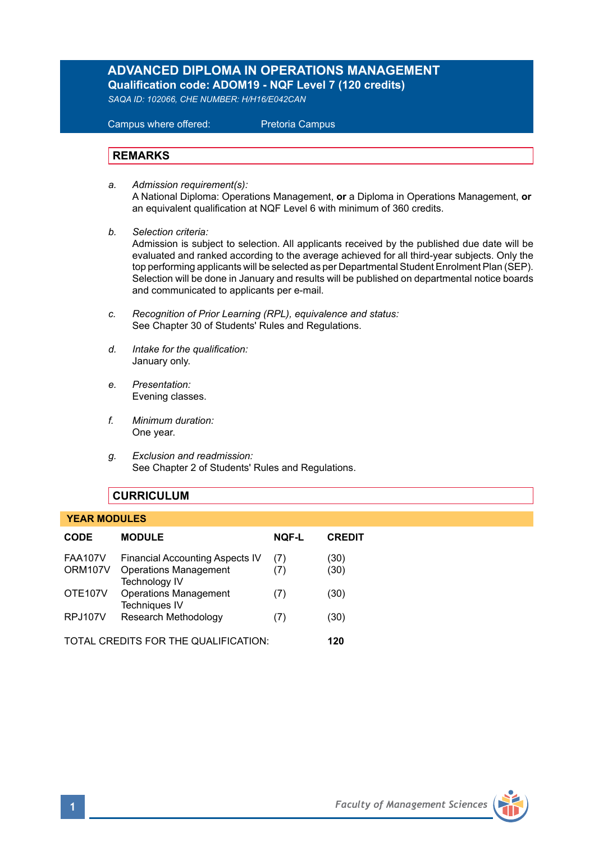# **ADVANCED DIPLOMA IN OPERATIONS MANAGEMENT Qualification code: ADOM19 - NQF Level 7 (120 credits)**

*SAQA ID: 102066, CHE NUMBER: H/H16/E042CAN* 

 Campus where offered: Pretoria Campus

# **REMARKS**

- *a. Admission requirement(s):*  A National Diploma: Operations Management, **or** a Diploma in Operations Management, **or** an equivalent qualification at NQF Level 6 with minimum of 360 credits.
- *b. Selection criteria:*

Admission is subject to selection. All applicants received by the published due date will be evaluated and ranked according to the average achieved for all third-year subjects. Only the top performing applicants will be selected as per Departmental Student Enrolment Plan (SEP). Selection will be done in January and results will be published on departmental notice boards and communicated to applicants per e-mail.

- *c. Recognition of Prior Learning (RPL), equivalence and status:* See Chapter 30 of Students' Rules and Regulations.
- *d. Intake for the qualification:* January only.
- *e. Presentation:* Evening classes.
- *f. Minimum duration:* One year.
- *g. Exclusion and readmission:* See Chapter 2 of Students' Rules and Regulations.

# **CURRICULUM**

### **YEAR MODULES**

| <b>CODE</b>                          | <b>MODULE</b>                                                                                  | <b>NOF-L</b> | <b>CREDIT</b> |
|--------------------------------------|------------------------------------------------------------------------------------------------|--------------|---------------|
| <b>FAA107V</b><br>ORM107V            | <b>Financial Accounting Aspects IV</b><br><b>Operations Management</b><br><b>Technology IV</b> | (7)<br>(7)   | (30)<br>(30)  |
| <b>OTE107V</b>                       | <b>Operations Management</b><br><b>Techniques IV</b>                                           | (7)          | (30)          |
| <b>RPJ107V</b>                       | Research Methodology                                                                           | (7)          | (30)          |
| TOTAL CREDITS FOR THE QUALIFICATION: |                                                                                                |              | 120           |